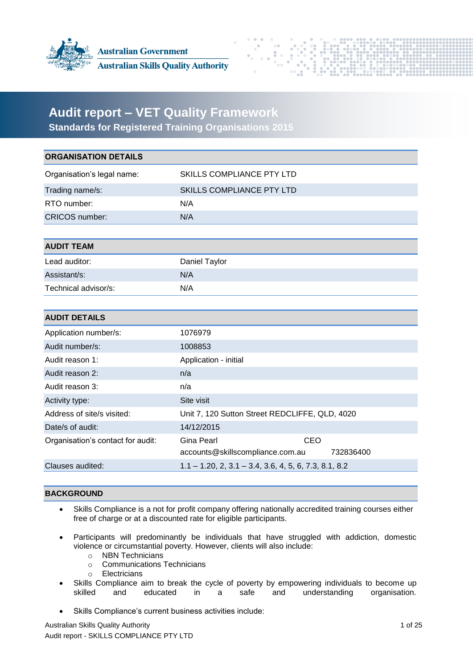



# **Audit report – VET Quality Framework**

**Standards for Registered Training Organisations 2015**

| SKILLS COMPLIANCE PTY LTD                                                 |
|---------------------------------------------------------------------------|
| SKILLS COMPLIANCE PTY LTD                                                 |
| N/A                                                                       |
| N/A                                                                       |
|                                                                           |
|                                                                           |
| Daniel Taylor                                                             |
| N/A                                                                       |
| N/A                                                                       |
|                                                                           |
|                                                                           |
| 1076979                                                                   |
| 1008853                                                                   |
| Application - initial                                                     |
| n/a                                                                       |
| n/a                                                                       |
| Site visit                                                                |
| Unit 7, 120 Sutton Street REDCLIFFE, QLD, 4020                            |
| 14/12/2015                                                                |
| <b>Gina Pearl</b><br>CEO<br>accounts@skillscompliance.com.au<br>732836400 |
| $1.1 - 1.20$ , 2, 3.1 - 3.4, 3.6, 4, 5, 6, 7.3, 8.1, 8.2                  |
|                                                                           |

## **BACKGROUND**

- Skills Compliance is a not for profit company offering nationally accredited training courses either free of charge or at a discounted rate for eligible participants.
- Participants will predominantly be individuals that have struggled with addiction, domestic violence or circumstantial poverty. However, clients will also include:
	- o NBN Technicians
	- o Communications Technicians
	- o Electricians
- Skills Compliance aim to break the cycle of poverty by empowering individuals to become up skilled and educated in a safe and understanding organisation.
- Skills Compliance's current business activities include:

Australian Skills Quality Authority 1 of 25 Audit report - SKILLS COMPLIANCE PTY LTD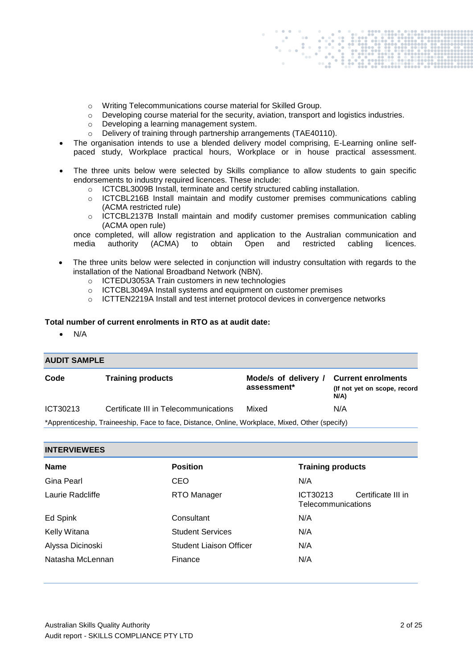- o Writing Telecommunications course material for Skilled Group.
- o Developing course material for the security, aviation, transport and logistics industries.
- o Developing a learning management system.
- o Delivery of training through partnership arrangements (TAE40110).
- The organisation intends to use a blended delivery model comprising, E-Learning online selfpaced study, Workplace practical hours, Workplace or in house practical assessment.
- The three units below were selected by Skills compliance to allow students to gain specific endorsements to industry required licences. These include:
	- o ICTCBL3009B Install, terminate and certify structured cabling installation.
	- o ICTCBL216B Install maintain and modify customer premises communications cabling (ACMA restricted rule)
	- o ICTCBL2137B Install maintain and modify customer premises communication cabling (ACMA open rule)

once completed, will allow registration and application to the Australian communication and media authority (ACMA) to obtain Open and restricted cabling licences.

- The three units below were selected in conjunction will industry consultation with regards to the installation of the National Broadband Network (NBN).
	- o ICTEDU3053A Train customers in new technologies
	- o ICTCBL3049A Install systems and equipment on customer premises
	- o ICTTEN2219A Install and test internet protocol devices in convergence networks

#### **Total number of current enrolments in RTO as at audit date:**

 $\bullet$  N/A

## **AUDIT SAMPLE**

| Code     | <b>Training products</b>                                                                 | Mode/s of delivery / Current enrolments<br>assessment* | (If not yet on scope, record<br>N/A) |
|----------|------------------------------------------------------------------------------------------|--------------------------------------------------------|--------------------------------------|
| ICT30213 | Certificate III in Telecommunications                                                    | Mixed                                                  | N/A                                  |
|          | *Apprenticeship Traineeship Face to face Distance Online Workplace Mixed Other (specify) |                                                        |                                      |

\*Apprenticeship, Traineeship, Face to face, Distance, Online, Workplace, Mixed, Other (specify)

| <b>INTERVIEWEES</b>                                        |                                |                                                      |  |
|------------------------------------------------------------|--------------------------------|------------------------------------------------------|--|
| <b>Position</b><br><b>Training products</b><br><b>Name</b> |                                |                                                      |  |
| Gina Pearl                                                 | CEO                            | N/A                                                  |  |
| Laurie Radcliffe                                           | RTO Manager                    | Certificate III in<br>ICT30213<br>Telecommunications |  |
| Ed Spink                                                   | Consultant                     | N/A                                                  |  |
| Kelly Witana                                               | <b>Student Services</b>        | N/A                                                  |  |
| Alyssa Dicinoski                                           | <b>Student Liaison Officer</b> | N/A                                                  |  |
| Natasha McLennan                                           | Finance                        | N/A                                                  |  |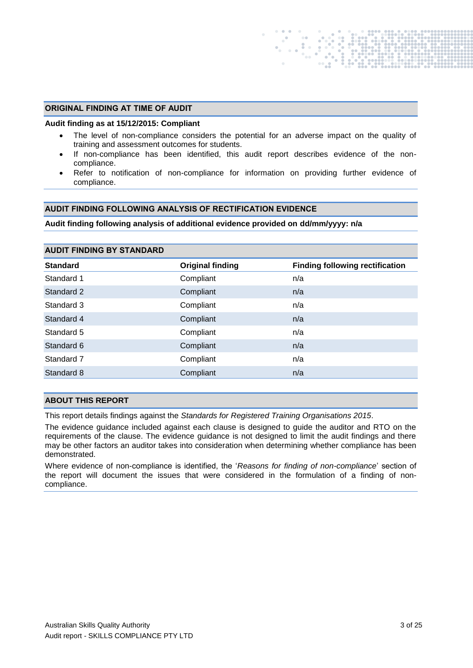#### **ORIGINAL FINDING AT TIME OF AUDIT**

#### **Audit finding as at 15/12/2015: Compliant**

- The level of non-compliance considers the potential for an adverse impact on the quality of training and assessment outcomes for students.
- If non-compliance has been identified, this audit report describes evidence of the noncompliance.
- Refer to notification of non-compliance for information on providing further evidence of compliance.

#### **AUDIT FINDING FOLLOWING ANALYSIS OF RECTIFICATION EVIDENCE**

#### **Audit finding following analysis of additional evidence provided on dd/mm/yyyy: n/a**

| <b>AUDIT FINDING BY STANDARD</b> |                         |                                        |  |  |
|----------------------------------|-------------------------|----------------------------------------|--|--|
| <b>Standard</b>                  | <b>Original finding</b> | <b>Finding following rectification</b> |  |  |
| Standard 1                       | Compliant               | n/a                                    |  |  |
| Standard 2                       | Compliant               | n/a                                    |  |  |
| Standard 3                       | Compliant               | n/a                                    |  |  |
| Standard 4                       | Compliant               | n/a                                    |  |  |
| Standard 5                       | Compliant               | n/a                                    |  |  |
| Standard 6                       | Compliant               | n/a                                    |  |  |
| Standard 7                       | Compliant               | n/a                                    |  |  |
| Standard 8                       | Compliant               | n/a                                    |  |  |

### **ABOUT THIS REPORT**

This report details findings against the *Standards for Registered Training Organisations 2015*.

The evidence guidance included against each clause is designed to guide the auditor and RTO on the requirements of the clause. The evidence guidance is not designed to limit the audit findings and there may be other factors an auditor takes into consideration when determining whether compliance has been demonstrated.

Where evidence of non-compliance is identified, the '*Reasons for finding of non-compliance*' section of the report will document the issues that were considered in the formulation of a finding of noncompliance.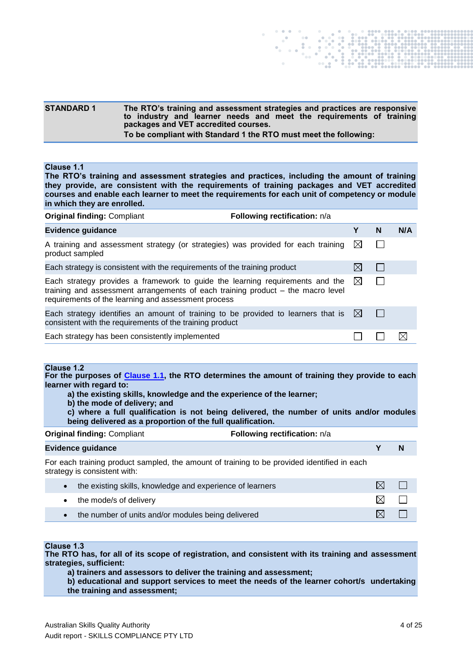#### **STANDARD 1 The RTO's training and assessment strategies and practices are responsive to industry and learner needs and meet the requirements of training packages and VET accredited courses. To be compliant with Standard 1 the RTO must meet the following:**

#### <span id="page-3-0"></span>**Clause 1.1**

**The RTO's training and assessment strategies and practices, including the amount of training they provide, are consistent with the requirements of training packages and VET accredited courses and enable each learner to meet the requirements for each unit of competency or module in which they are enrolled.**

| <b>Original finding: Compliant</b>                                                                                                                                                                                      | Following rectification: n/a |              |   |     |
|-------------------------------------------------------------------------------------------------------------------------------------------------------------------------------------------------------------------------|------------------------------|--------------|---|-----|
| <b>Evidence guidance</b>                                                                                                                                                                                                |                              | Υ            | N | N/A |
| A training and assessment strategy (or strategies) was provided for each training<br>product sampled                                                                                                                    |                              | $\boxtimes$  |   |     |
| Each strategy is consistent with the requirements of the training product                                                                                                                                               |                              |              |   |     |
| Each strategy provides a framework to guide the learning requirements and the<br>training and assessment arrangements of each training product – the macro level<br>requirements of the learning and assessment process |                              | $\bowtie$    |   |     |
| Each strategy identifies an amount of training to be provided to learners that is<br>consistent with the requirements of the training product                                                                           |                              | $\mathbb{X}$ |   |     |
| Each strategy has been consistently implemented                                                                                                                                                                         |                              |              |   |     |

#### **Clause 1.2**

**For the purposes of [Clause 1.1,](#page-3-0) the RTO determines the amount of training they provide to each learner with regard to:**

- **a) the existing skills, knowledge and the experience of the learner;**
- **b) the mode of delivery; and**
- **c) where a full qualification is not being delivered, the number of units and/or modules being delivered as a proportion of the full qualification.**

**Original finding: Compliant <b>Following rectification:**  $n/a$ 

| <b>Evidence guidance</b> |  | N |
|--------------------------|--|---|
|                          |  |   |

For each training product sampled, the amount of training to be provided identified in each strategy is consistent with:

| the existing skills, knowledge and experience of learners |     |  |
|-----------------------------------------------------------|-----|--|
| • the mode/s of delivery                                  | IXI |  |
| the number of units and/or modules being delivered        | M   |  |

## **Clause 1.3**

**The RTO has, for all of its scope of registration, and consistent with its training and assessment strategies, sufficient:**

**a) trainers and assessors to deliver the training and assessment;** 

**b) educational and support services to meet the needs of the learner cohort/s undertaking the training and assessment;**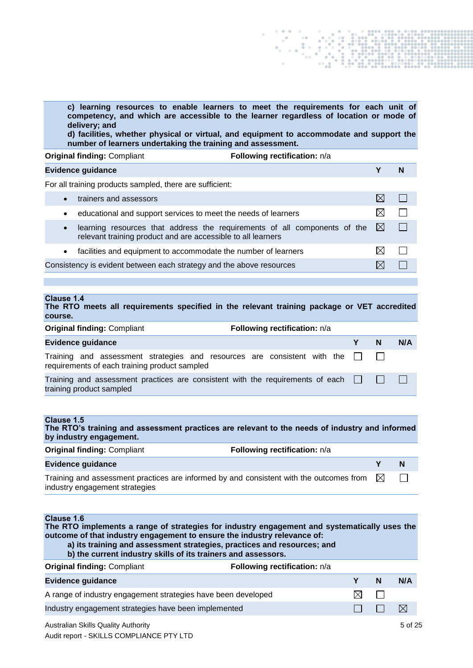**c) learning resources to enable learners to meet the requirements for each unit of competency, and which are accessible to the learner regardless of location or mode of delivery; and**

**d) facilities, whether physical or virtual, and equipment to accommodate and support the number of learners undertaking the training and assessment.**

| <b>Original finding: Compliant</b> | Following rectification: n/a |
|------------------------------------|------------------------------|
|------------------------------------|------------------------------|

|           | <b>Evidence guidance</b>                                                                                                                  |             | N |
|-----------|-------------------------------------------------------------------------------------------------------------------------------------------|-------------|---|
|           | For all training products sampled, there are sufficient:                                                                                  |             |   |
|           | trainers and assessors                                                                                                                    |             |   |
| ٠         | educational and support services to meet the needs of learners                                                                            |             |   |
| $\bullet$ | learning resources that address the requirements of all components of the<br>relevant training product and are accessible to all learners | $\boxtimes$ |   |
| $\bullet$ | facilities and equipment to accommodate the number of learners                                                                            |             |   |
|           | Consistency is evident between each strategy and the above resources                                                                      |             |   |
|           |                                                                                                                                           |             |   |

#### **Clause 1.4 The RTO meets all requirements specified in the relevant training package or VET accredited**

| course.                                                                                                                             |   |   |              |
|-------------------------------------------------------------------------------------------------------------------------------------|---|---|--------------|
| <b>Original finding: Compliant</b><br>Following rectification: n/a                                                                  |   |   |              |
| <b>Evidence guidance</b>                                                                                                            | Y | N | N/A          |
| Training and assessment strategies and resources are consistent with the $\square$<br>requirements of each training product sampled |   |   |              |
| Training and assessment practices are consistent with the requirements of each $\Box$<br>training product sampled                   |   |   | $\mathbf{1}$ |

| Clause 1.5<br>The RTO's training and assessment practices are relevant to the needs of industry and informed<br>by industry engagement.                                                |                                     |           |     |
|----------------------------------------------------------------------------------------------------------------------------------------------------------------------------------------|-------------------------------------|-----------|-----|
| <b>Original finding: Compliant</b>                                                                                                                                                     | Following rectification: n/a        |           |     |
| <b>Evidence guidance</b>                                                                                                                                                               |                                     | Υ         | N   |
| Training and assessment practices are informed by and consistent with the outcomes from<br>industry engagement strategies                                                              |                                     | $\bowtie$ |     |
|                                                                                                                                                                                        |                                     |           |     |
| Clause 1.6<br>The RTO implements a range of strategies for industry engagement and systematically uses the<br>outcome of that industry engagement to ensure the industry relevance of: |                                     |           |     |
| a) its training and assessment strategies, practices and resources; and<br>b) the current industry skills of its trainers and assessors.                                               |                                     |           |     |
| <b>Original finding: Compliant</b>                                                                                                                                                     | <b>Following rectification:</b> n/a |           |     |
| Evidence guidance                                                                                                                                                                      | Υ                                   | N         | N/A |
| A range of industry engagement strategies have been developed                                                                                                                          | $\bowtie$                           |           |     |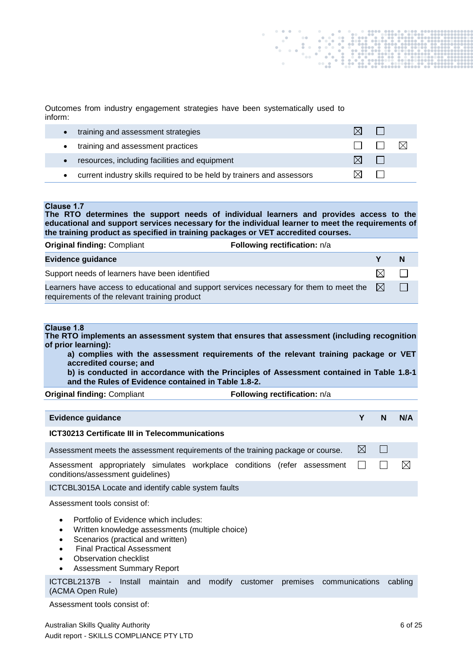Outcomes from industry engagement strategies have been systematically used to inform:

|           | training and assessment strategies                                    |  |      |
|-----------|-----------------------------------------------------------------------|--|------|
|           | training and assessment practices                                     |  | -IXI |
| $\bullet$ | resources, including facilities and equipment                         |  |      |
|           | current industry skills required to be held by trainers and assessors |  |      |

## **Clause 1.7**

**The RTO determines the support needs of individual learners and provides access to the educational and support services necessary for the individual learner to meet the requirements of the training product as specified in training packages or VET accredited courses.**

| <b>Original finding: Compliant</b>                                                                                                       | Following rectification: n/a |     |      |
|------------------------------------------------------------------------------------------------------------------------------------------|------------------------------|-----|------|
| <b>Evidence guidance</b>                                                                                                                 |                              |     | N    |
| Support needs of learners have been identified                                                                                           |                              | Γ×Ι |      |
| Learners have access to educational and support services necessary for them to meet the<br>requirements of the relevant training product |                              | IXI | - 13 |

## **Clause 1.8**

**The RTO implements an assessment system that ensures that assessment (including recognition of prior learning):**

**a) complies with the assessment requirements of the relevant training package or VET accredited course; and**

**b) is conducted in accordance with the Principles of Assessment contained in Table 1.8-1 and the Rules of Evidence contained in Table 1.8-2.**

|  | <b>Original finding: Compliant</b> |
|--|------------------------------------|
|  |                                    |

**Following rectification:**  $n/a$ 

| Evidence guidance                                                                                                                                                                                                                                                                                                                     | Υ           | N            | N/A     |
|---------------------------------------------------------------------------------------------------------------------------------------------------------------------------------------------------------------------------------------------------------------------------------------------------------------------------------------|-------------|--------------|---------|
| <b>ICT30213 Certificate III in Telecommunications</b>                                                                                                                                                                                                                                                                                 |             |              |         |
| Assessment meets the assessment requirements of the training package or course.                                                                                                                                                                                                                                                       | $\boxtimes$ | $\mathsf{L}$ |         |
| Assessment appropriately simulates workplace conditions (refer assessment<br>conditions/assessment guidelines)                                                                                                                                                                                                                        |             |              | ⊠       |
| ICTCBL3015A Locate and identify cable system faults                                                                                                                                                                                                                                                                                   |             |              |         |
| Assessment tools consist of:<br>Portfolio of Evidence which includes:<br>$\bullet$<br>Written knowledge assessments (multiple choice)<br>٠<br>Scenarios (practical and written)<br>$\bullet$<br><b>Final Practical Assessment</b><br>$\bullet$<br>Observation checklist<br>$\bullet$<br><b>Assessment Summary Report</b><br>$\bullet$ |             |              |         |
| ICTCBL2137B - Install maintain and<br>modify<br>premises communications<br>customer<br>(ACMA Open Rule)                                                                                                                                                                                                                               |             |              | cabling |
| Assessment tools consist of:                                                                                                                                                                                                                                                                                                          |             |              |         |

Australian Skills Quality Authority 6 of 25 Audit report - SKILLS COMPLIANCE PTY LTD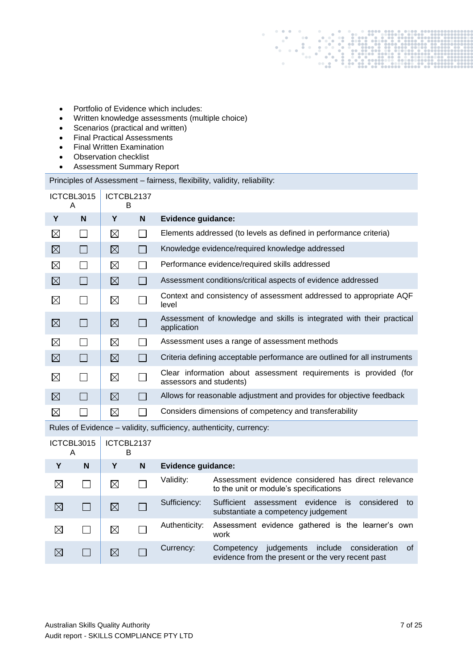- Portfolio of Evidence which includes:
- Written knowledge assessments (multiple choice)
- Scenarios (practical and written)
- Final Practical Assessments
- Final Written Examination
- Observation checklist
- Assessment Summary Report

Principles of Assessment – fairness, flexibility, validity, reliability:

| ICTCBL3015<br>ICTCBL2137<br>B<br>A |               |             |              |                                                                                             |
|------------------------------------|---------------|-------------|--------------|---------------------------------------------------------------------------------------------|
| Y                                  | N             | Y           | $\mathbf N$  | <b>Evidence guidance:</b>                                                                   |
| $\boxtimes$                        |               | $\boxtimes$ |              | Elements addressed (to levels as defined in performance criteria)                           |
| $\boxtimes$                        | $\mathsf{L}$  | ⊠           |              | Knowledge evidence/required knowledge addressed                                             |
| $\boxtimes$                        |               | $\boxtimes$ |              | Performance evidence/required skills addressed                                              |
| $\boxtimes$                        | $\Box$        | ⊠           | $\mathbf{L}$ | Assessment conditions/critical aspects of evidence addressed                                |
| $\boxtimes$                        |               | $\boxtimes$ |              | Context and consistency of assessment addressed to appropriate AQF<br>level                 |
| $\boxtimes$                        |               | $\boxtimes$ |              | Assessment of knowledge and skills is integrated with their practical<br>application        |
| ⊠                                  |               | ⊠           |              | Assessment uses a range of assessment methods                                               |
| $\boxtimes$                        |               | ⊠           |              | Criteria defining acceptable performance are outlined for all instruments                   |
| $\boxtimes$                        | $\mathcal{L}$ | $\boxtimes$ |              | Clear information about assessment requirements is provided (for<br>assessors and students) |
| $\boxtimes$                        |               | $\boxtimes$ |              | Allows for reasonable adjustment and provides for objective feedback                        |
| $\boxtimes$                        |               | $\boxtimes$ |              | Considers dimensions of competency and transferability                                      |

Rules of Evidence – validity, sufficiency, authenticity, currency:

| ICTCBL3015<br>A |   | ICTCBL2137<br>В |   |                           |                                                                                                                  |
|-----------------|---|-----------------|---|---------------------------|------------------------------------------------------------------------------------------------------------------|
| Υ               | N | Y               | N | <b>Evidence guidance:</b> |                                                                                                                  |
| ⋉               |   | ⊠               |   | Validity:                 | Assessment evidence considered has direct relevance<br>to the unit or module's specifications                    |
| $\boxtimes$     |   | ⊠               |   | Sufficiency:              | evidence<br>is<br>Sufficient<br>considered<br>assessment<br>to<br>substantiate a competency judgement            |
| X               |   | ⊠               |   | Authenticity:             | Assessment evidence gathered is the learner's own<br>work                                                        |
| $\bowtie$       |   | ⊠               |   | Currency:                 | include<br>judgements<br>Competency<br>consideration<br>∖of<br>evidence from the present or the very recent past |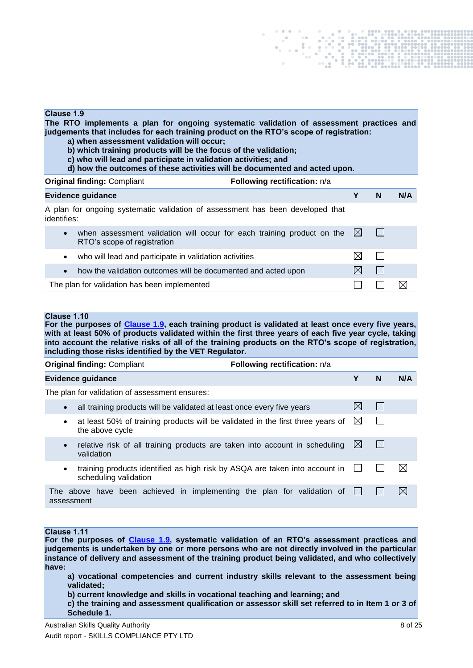#### **Clause 1.9**

**The RTO implements a plan for ongoing systematic validation of assessment practices and judgements that includes for each training product on the RTO's scope of registration:**

- **a) when assessment validation will occur;**
- **b) which training products will be the focus of the validation;**
- **c) who will lead and participate in validation activities; and**
- **d) how the outcomes of these activities will be documented and acted upon.**

| <b>Original finding: Compliant</b>                                                                                             | Following rectification: n/a |   |              |     |
|--------------------------------------------------------------------------------------------------------------------------------|------------------------------|---|--------------|-----|
| <b>Evidence guidance</b>                                                                                                       |                              | Υ | N            | N/A |
| A plan for ongoing systematic validation of assessment has been developed that<br>identifies:                                  |                              |   |              |     |
| when assessment validation will occur for each training product on the $\boxtimes$<br>$\bullet$<br>RTO's scope of registration |                              |   | $\mathbf{L}$ |     |
| who will lead and participate in validation activities<br>$\bullet$                                                            |                              |   |              |     |
| how the validation outcomes will be documented and acted upon<br>$\bullet$                                                     |                              | ⋉ |              |     |
| The plan for validation has been implemented                                                                                   |                              |   |              |     |

The plan for validation has been implemented

#### **Clause 1.10**

**For the purposes of Clause 1.9, each training product is validated at least once every five years, with at least 50% of products validated within the first three years of each five year cycle, taking into account the relative risks of all of the training products on the RTO's scope of registration, including those risks identified by the VET Regulator.**

|                          | <b>Original finding: Compliant</b>                                                                   | Following rectification: n/a |           |  |             |  |  |
|--------------------------|------------------------------------------------------------------------------------------------------|------------------------------|-----------|--|-------------|--|--|
| <b>Evidence guidance</b> |                                                                                                      |                              |           |  | N/A         |  |  |
|                          | The plan for validation of assessment ensures:                                                       |                              |           |  |             |  |  |
| $\bullet$                | all training products will be validated at least once every five years                               |                              |           |  |             |  |  |
| $\bullet$                | at least 50% of training products will be validated in the first three years of<br>the above cycle   |                              | IХ        |  |             |  |  |
| $\bullet$                | relative risk of all training products are taken into account in scheduling<br>validation            |                              | $\bowtie$ |  |             |  |  |
| $\bullet$                | training products identified as high risk by ASQA are taken into account in<br>scheduling validation |                              |           |  | ⊠           |  |  |
| assessment               | The above have been achieved in implementing the plan for validation of                              |                              |           |  | $\boxtimes$ |  |  |

#### **Clause 1.11**

**For the purposes of Clause 1.9, systematic validation of an RTO's assessment practices and judgements is undertaken by one or more persons who are not directly involved in the particular instance of delivery and assessment of the training product being validated, and who collectively have:**

**a) vocational competencies and current industry skills relevant to the assessment being validated;** 

**b) current knowledge and skills in vocational teaching and learning; and** 

**c) the training and assessment qualification or assessor skill set referred to in Item 1 or 3 of Schedule 1.**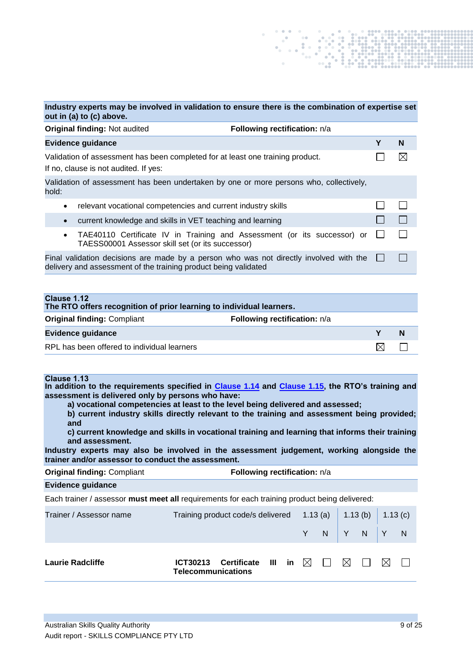|                                                                                                                         | Industry experts may be involved in validation to ensure there is the combination of expertise set<br>out in (a) to (c) above.                            |   |   |  |  |  |  |
|-------------------------------------------------------------------------------------------------------------------------|-----------------------------------------------------------------------------------------------------------------------------------------------------------|---|---|--|--|--|--|
|                                                                                                                         | <b>Original finding: Not audited</b><br>Following rectification: n/a                                                                                      |   |   |  |  |  |  |
|                                                                                                                         | <b>Evidence guidance</b>                                                                                                                                  | Υ | N |  |  |  |  |
| Validation of assessment has been completed for at least one training product.<br>If no, clause is not audited. If yes: |                                                                                                                                                           |   |   |  |  |  |  |
| hold:                                                                                                                   | Validation of assessment has been undertaken by one or more persons who, collectively,                                                                    |   |   |  |  |  |  |
| $\bullet$                                                                                                               | relevant vocational competencies and current industry skills                                                                                              |   |   |  |  |  |  |
| $\bullet$                                                                                                               | current knowledge and skills in VET teaching and learning                                                                                                 |   |   |  |  |  |  |
| $\bullet$                                                                                                               | TAE40110 Certificate IV in Training and Assessment (or its successor) or<br>TAESS00001 Assessor skill set (or its successor)                              |   |   |  |  |  |  |
|                                                                                                                         | Final validation decisions are made by a person who was not directly involved with the<br>delivery and assessment of the training product being validated |   |   |  |  |  |  |

**Clause 1.12 The RTO offers recognition of prior learning to individual learners. Original finding: Compliant <b>Following rectification:**  $n/a$ **Evidence guidance Y N** RPL has been offered to individual learners  $\boxtimes$  $\Box$ 

## **Clause 1.13**

**In addition to the requirements specified in [Clause 1.14](#page-8-0) and [Clause 1.15,](#page-9-0) the RTO's training and assessment is delivered only by persons who have:** 

**a) vocational competencies at least to the level being delivered and assessed;**

**b) current industry skills directly relevant to the training and assessment being provided; and**

**c) current knowledge and skills in vocational training and learning that informs their training and assessment.**

**Industry experts may also be involved in the assessment judgement, working alongside the trainer and/or assessor to conduct the assessment.**

| <b>Original finding: Compliant</b> | Following rectification: n/a |
|------------------------------------|------------------------------|
|------------------------------------|------------------------------|

#### **Evidence guidance**

Each trainer / assessor **must meet all** requirements for each training product being delivered:

<span id="page-8-0"></span>

| Trainer / Assessor name | Training product code/s delivered $1.13$ (a) $\vert$ 1.13 (b) $\vert$ 1.13 (c) |                          |  |  |  |                   |  |                                                                                       |     |  |
|-------------------------|--------------------------------------------------------------------------------|--------------------------|--|--|--|-------------------|--|---------------------------------------------------------------------------------------|-----|--|
|                         |                                                                                |                          |  |  |  |                   |  | Y N Y N Y N                                                                           |     |  |
| Laurie Radcliffe        | <b>Telecommunications</b>                                                      | ICT30213 Certificate III |  |  |  | in $\boxtimes$ 11 |  | $\begin{array}{c c c c c} \hline \text{M} & \text{I} & \text{I} \\\hline \end{array}$ | IXL |  |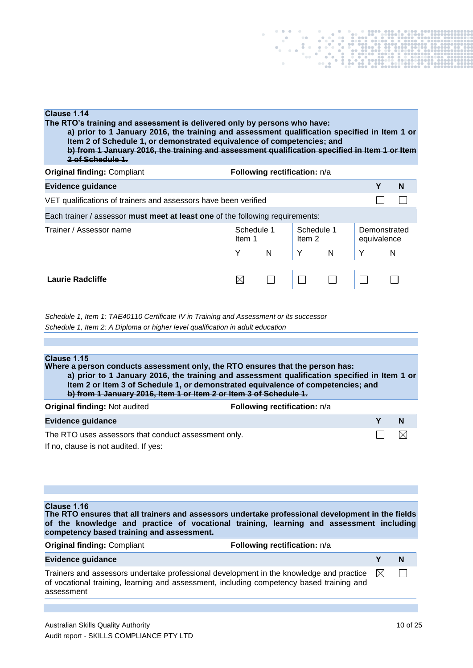| Clause 1.14<br>The RTO's training and assessment is delivered only by persons who have:<br>a) prior to 1 January 2016, the training and assessment qualification specified in Item 1 or<br>Item 2 of Schedule 1, or demonstrated equivalence of competencies; and<br>b) from 1 January 2016, the training and assessment qualification specified in Item 1 or Item<br>2 of Schedule 1. |                                |                              |   |            |                             |   |  |
|----------------------------------------------------------------------------------------------------------------------------------------------------------------------------------------------------------------------------------------------------------------------------------------------------------------------------------------------------------------------------------------|--------------------------------|------------------------------|---|------------|-----------------------------|---|--|
| <b>Original finding: Compliant</b>                                                                                                                                                                                                                                                                                                                                                     |                                | Following rectification: n/a |   |            |                             |   |  |
| <b>Evidence guidance</b>                                                                                                                                                                                                                                                                                                                                                               |                                |                              |   |            | Y                           | N |  |
| VET qualifications of trainers and assessors have been verified                                                                                                                                                                                                                                                                                                                        |                                |                              |   |            |                             |   |  |
| Each trainer / assessor must meet at least one of the following requirements:                                                                                                                                                                                                                                                                                                          |                                |                              |   |            |                             |   |  |
| Trainer / Assessor name                                                                                                                                                                                                                                                                                                                                                                | Schedule 1<br>Item 1<br>Item 2 |                              |   | Schedule 1 | Demonstrated<br>equivalence |   |  |
|                                                                                                                                                                                                                                                                                                                                                                                        | Y                              | N                            | Y | N          | Y                           | N |  |
| Laurie Radcliffe                                                                                                                                                                                                                                                                                                                                                                       |                                |                              |   |            |                             |   |  |

*Schedule 1, Item 1: TAE40110 Certificate IV in Training and Assessment or its successor Schedule 1, Item 2: A Diploma or higher level qualification in adult education*

<span id="page-9-0"></span>

| Clause 1.15<br>Where a person conducts assessment only, the RTO ensures that the person has:<br>a) prior to 1 January 2016, the training and assessment qualification specified in Item 1 or<br>Item 2 or Item 3 of Schedule 1, or demonstrated equivalence of competencies; and<br>b) from 1 January 2016, Item 1 or Item 2 or Item 3 of Schedule 1. |                              |  |   |  |  |  |
|-------------------------------------------------------------------------------------------------------------------------------------------------------------------------------------------------------------------------------------------------------------------------------------------------------------------------------------------------------|------------------------------|--|---|--|--|--|
| <b>Original finding: Not audited</b>                                                                                                                                                                                                                                                                                                                  | Following rectification: n/a |  |   |  |  |  |
| <b>Evidence guidance</b>                                                                                                                                                                                                                                                                                                                              |                              |  | N |  |  |  |
| The RTO uses assessors that conduct assessment only.<br>If no, clause is not audited. If yes:                                                                                                                                                                                                                                                         |                              |  |   |  |  |  |

## **Clause 1.16**

| <b>Ulause</b> 1.10<br>The RTO ensures that all trainers and assessors undertake professional development in the fields<br>of the knowledge and practice of vocational training, learning and assessment including<br>competency based training and assessment. |                              |     |   |
|----------------------------------------------------------------------------------------------------------------------------------------------------------------------------------------------------------------------------------------------------------------|------------------------------|-----|---|
| <b>Original finding: Compliant</b>                                                                                                                                                                                                                             | Following rectification: n/a |     |   |
| <b>Evidence guidance</b>                                                                                                                                                                                                                                       |                              |     | N |
| Trainers and assessors undertake professional development in the knowledge and practice<br>of vocational training, learning and assessment, including competency based training and<br>assessment                                                              |                              | IXI |   |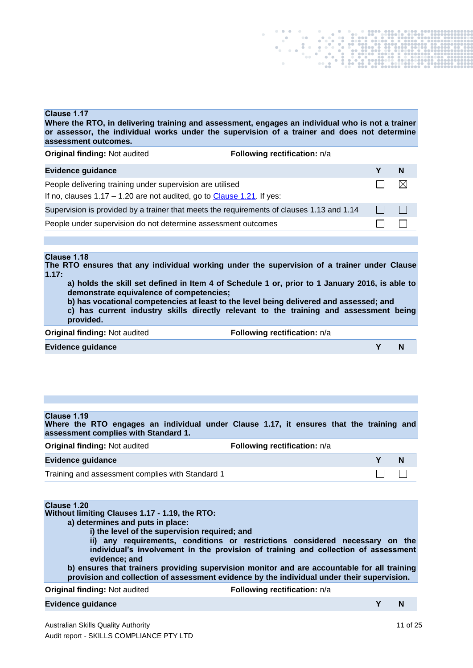#### **Clause 1.17**

**Where the RTO, in delivering training and assessment, engages an individual who is not a trainer or assessor, the individual works under the supervision of a trainer and does not determine assessment outcomes.**

| <b>Original finding: Not audited</b>                                                                                                  | Following rectification: n/a |   |             |
|---------------------------------------------------------------------------------------------------------------------------------------|------------------------------|---|-------------|
| <b>Evidence guidance</b>                                                                                                              |                              |   | -N          |
| People delivering training under supervision are utilised<br>If no, clauses $1.17 - 1.20$ are not audited, go to Clause 1.21. If yes: |                              |   | $\boxtimes$ |
| Supervision is provided by a trainer that meets the requirements of clauses 1.13 and 1.14                                             |                              | . |             |
| People under supervision do not determine assessment outcomes                                                                         |                              |   |             |

#### **Clause 1.18**

**The RTO ensures that any individual working under the supervision of a trainer under Clause 1.17:**

**a) holds the skill set defined in Item 4 of Schedule 1 or, prior to 1 January 2016, is able to demonstrate equivalence of competencies;**

**b) has vocational competencies at least to the level being delivered and assessed; and** 

**c) has current industry skills directly relevant to the training and assessment being provided.**

| <b>Original finding: Not audited</b> | Following rectification: n/a |  |
|--------------------------------------|------------------------------|--|
| <b>Evidence guidance</b>             |                              |  |

#### **Clause 1.19**

**Where the RTO engages an individual under Clause 1.17, it ensures that the training and assessment complies with Standard 1.**

| <b>Original finding: Not audited</b>             | <b>Following rectification:</b> n/a |   |
|--------------------------------------------------|-------------------------------------|---|
| <b>Evidence guidance</b>                         |                                     | N |
| Training and assessment complies with Standard 1 |                                     |   |

## **Clause 1.20**

#### **Without limiting Clauses 1.17 - 1.19, the RTO:**

**a) determines and puts in place:** 

**i) the level of the supervision required; and**

**ii) any requirements, conditions or restrictions considered necessary on the individual's involvement in the provision of training and collection of assessment evidence; and**

**b) ensures that trainers providing supervision monitor and are accountable for all training provision and collection of assessment evidence by the individual under their supervision.**

#### **Original finding:** Not audited **Following rectification:**  $n/a$

#### **Evidence guidance Y N**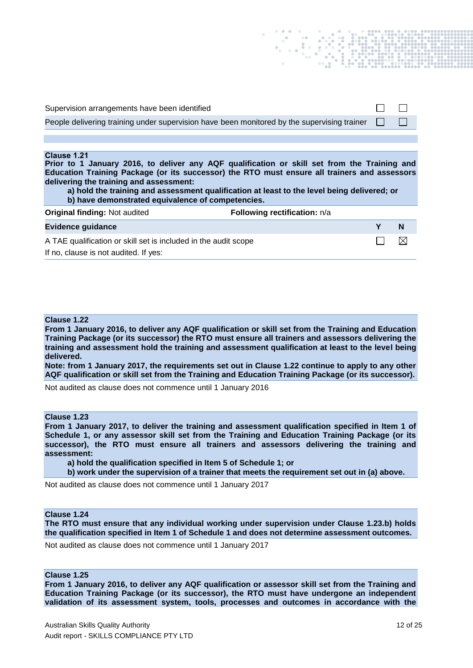<span id="page-11-0"></span>

| Supervision arrangements have been identified                                                                                                                                                                                                                                                                                                                                                              |   |   |
|------------------------------------------------------------------------------------------------------------------------------------------------------------------------------------------------------------------------------------------------------------------------------------------------------------------------------------------------------------------------------------------------------------|---|---|
| People delivering training under supervision have been monitored by the supervising trainer                                                                                                                                                                                                                                                                                                                |   |   |
|                                                                                                                                                                                                                                                                                                                                                                                                            |   |   |
| Clause 1.21<br>Prior to 1 January 2016, to deliver any AQF qualification or skill set from the Training and<br>Education Training Package (or its successor) the RTO must ensure all trainers and assessors<br>delivering the training and assessment:<br>a) hold the training and assessment qualification at least to the level being delivered; or<br>b) have demonstrated equivalence of competencies. |   |   |
| <b>Original finding: Not audited</b><br><b>Following rectification:</b> n/a                                                                                                                                                                                                                                                                                                                                |   |   |
| <b>Evidence guidance</b>                                                                                                                                                                                                                                                                                                                                                                                   | Υ | N |
| A TAE qualification or skill set is included in the audit scope                                                                                                                                                                                                                                                                                                                                            |   |   |

If no, clause is not audited. If yes:

#### **Clause 1.22**

**From 1 January 2016, to deliver any AQF qualification or skill set from the Training and Education Training Package (or its successor) the RTO must ensure all trainers and assessors delivering the training and assessment hold the training and assessment qualification at least to the level being delivered.**

**Note: from 1 January 2017, the requirements set out in Clause 1.22 continue to apply to any other AQF qualification or skill set from the Training and Education Training Package (or its successor).**

Not audited as clause does not commence until 1 January 2016

#### **Clause 1.23**

**From 1 January 2017, to deliver the training and assessment qualification specified in Item 1 of Schedule 1, or any assessor skill set from the Training and Education Training Package (or its successor), the RTO must ensure all trainers and assessors delivering the training and assessment:**

**a) hold the qualification specified in Item 5 of Schedule 1; or** 

**b) work under the supervision of a trainer that meets the requirement set out in (a) above.**

Not audited as clause does not commence until 1 January 2017

#### **Clause 1.24**

**The RTO must ensure that any individual working under supervision under Clause 1.23.b) holds the qualification specified in Item 1 of Schedule 1 and does not determine assessment outcomes.**

Not audited as clause does not commence until 1 January 2017

## **Clause 1.25**

**From 1 January 2016, to deliver any AQF qualification or assessor skill set from the Training and Education Training Package (or its successor), the RTO must have undergone an independent validation of its assessment system, tools, processes and outcomes in accordance with the**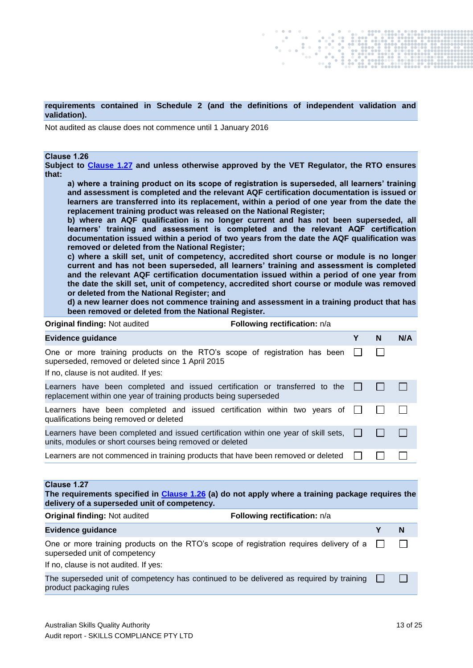**requirements contained in Schedule 2 (and the definitions of independent validation and validation).**

Not audited as clause does not commence until 1 January 2016

#### <span id="page-12-1"></span>**Clause 1.26**

**Subject to [Clause 1.27](#page-12-0) and unless otherwise approved by the VET Regulator, the RTO ensures that:**

**a) where a training product on its scope of registration is superseded, all learners' training and assessment is completed and the relevant AQF certification documentation is issued or learners are transferred into its replacement, within a period of one year from the date the replacement training product was released on the National Register;** 

**b) where an AQF qualification is no longer current and has not been superseded, all learners' training and assessment is completed and the relevant AQF certification documentation issued within a period of two years from the date the AQF qualification was removed or deleted from the National Register;** 

**c) where a skill set, unit of competency, accredited short course or module is no longer current and has not been superseded, all learners' training and assessment is completed and the relevant AQF certification documentation issued within a period of one year from the date the skill set, unit of competency, accredited short course or module was removed or deleted from the National Register; and**

**d) a new learner does not commence training and assessment in a training product that has been removed or deleted from the National Register.**

| <b>Original finding: Not audited</b>                                                                                                                                    | Following rectification: n/a |   |   |     |
|-------------------------------------------------------------------------------------------------------------------------------------------------------------------------|------------------------------|---|---|-----|
| <b>Evidence guidance</b>                                                                                                                                                |                              | Υ | N | N/A |
| One or more training products on the RTO's scope of registration has been<br>superseded, removed or deleted since 1 April 2015<br>If no, clause is not audited. If yes: |                              |   |   |     |
| Learners have been completed and issued certification or transferred to the<br>replacement within one year of training products being superseded                        |                              |   |   |     |
| Learners have been completed and issued certification within two years of<br>qualifications being removed or deleted                                                    |                              |   |   |     |
| Learners have been completed and issued certification within one year of skill sets,<br>units, modules or short courses being removed or deleted                        |                              |   |   |     |
| Learners are not commenced in training products that have been removed or deleted                                                                                       |                              |   |   |     |
|                                                                                                                                                                         |                              |   |   |     |
| Clause 1.27                                                                                                                                                             |                              |   |   |     |

<span id="page-12-0"></span>**The requirements specified in [Clause 1.26](#page-12-1) (a) do not apply where a training package requires the delivery of a superseded unit of competency.**

| <b>Original finding: Not audited</b>                                                                                                                                     | <b>Following rectification:</b> n/a |        |
|--------------------------------------------------------------------------------------------------------------------------------------------------------------------------|-------------------------------------|--------|
| <b>Evidence guidance</b>                                                                                                                                                 |                                     | N      |
| One or more training products on the RTO's scope of registration requires delivery of a $\Box$<br>superseded unit of competency<br>If no, clause is not audited. If yes: |                                     | $\Box$ |
| The superseded unit of competency has continued to be delivered as required by training $\Box$<br>product packaging rules                                                |                                     | $\pm$  |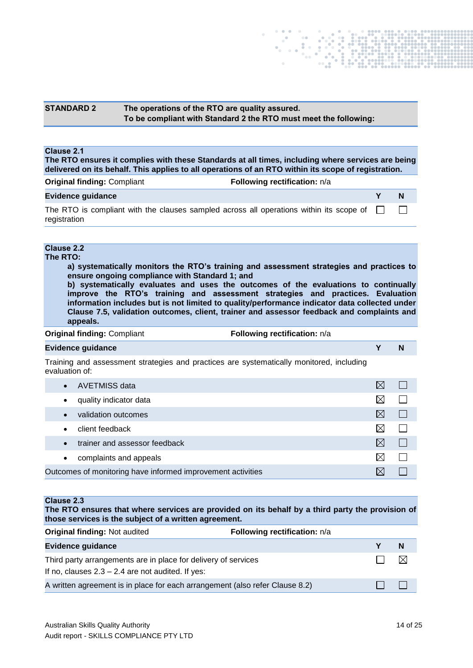## **STANDARD 2 The operations of the RTO are quality assured. To be compliant with Standard 2 the RTO must meet the following:**

#### **Clause 2.1**

**The RTO ensures it complies with these Standards at all times, including where services are being delivered on its behalf. This applies to all operations of an RTO within its scope of registration.**

| <b>Original finding: Compliant</b>                                                                      | <b>Following rectification:</b> n/a |   |
|---------------------------------------------------------------------------------------------------------|-------------------------------------|---|
| Evidence guidance                                                                                       |                                     | N |
| The RTO is compliant with the clauses sampled across all operations within its scope of<br>registration |                                     |   |

## **Clause 2.2**

**The RTO:**

**a) systematically monitors the RTO's training and assessment strategies and practices to ensure ongoing compliance with Standard 1; and**

**b) systematically evaluates and uses the outcomes of the evaluations to continually improve the RTO's training and assessment strategies and practices. Evaluation information includes but is not limited to quality/performance indicator data collected under Clause 7.5, validation outcomes, client, trainer and assessor feedback and complaints and appeals.**

**Original finding: Compliant <b>Following rectification:**  $n/a$ 

#### **Evidence guidance Y N**

Training and assessment strategies and practices are systematically monitored, including evaluation of:

| AVETMISS data<br>$\bullet$                                  |     |  |
|-------------------------------------------------------------|-----|--|
| quality indicator data<br>$\bullet$                         |     |  |
| validation outcomes<br>$\bullet$                            | IXI |  |
| client feedback<br>$\bullet$                                |     |  |
| trainer and assessor feedback<br>$\bullet$                  | IХI |  |
| complaints and appeals<br>$\bullet$                         |     |  |
| Outcomes of monitoring have informed improvement activities |     |  |

#### <span id="page-13-0"></span>**Clause 2.3**

**The RTO ensures that where services are provided on its behalf by a third party the provision of those services is the subject of a written agreement.**

| <b>Original finding: Not audited</b>                                                                                  | Following rectification: n/a |     |
|-----------------------------------------------------------------------------------------------------------------------|------------------------------|-----|
| Evidence guidance                                                                                                     |                              | – N |
| Third party arrangements are in place for delivery of services<br>If no, clauses $2.3 - 2.4$ are not audited. If yes: |                              | -M  |
| A written agreement is in place for each arrangement (also refer Clause 8.2)                                          |                              |     |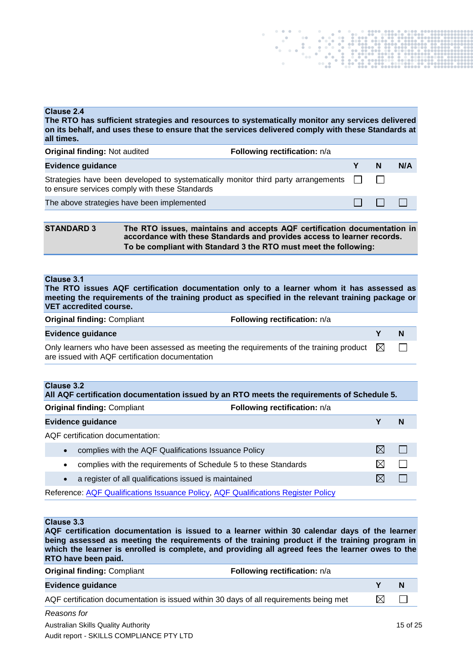#### **Clause 2.4**

**The RTO has sufficient strategies and resources to systematically monitor any services delivered on its behalf, and uses these to ensure that the services delivered comply with these Standards at all times.**

| <b>Original finding: Not audited</b>                                                                                                       | Following rectification: n/a |          |     |
|--------------------------------------------------------------------------------------------------------------------------------------------|------------------------------|----------|-----|
| <b>Evidence guidance</b>                                                                                                                   |                              | <b>N</b> | N/A |
| Strategies have been developed to systematically monitor third party arrangements $\Box$<br>to ensure services comply with these Standards |                              |          |     |
| The above strategies have been implemented                                                                                                 |                              | .        |     |

**STANDARD 3 The RTO issues, maintains and accepts AQF certification documentation in accordance with these Standards and provides access to learner records. To be compliant with Standard 3 the RTO must meet the following:**

#### **Clause 3.1**

**The RTO issues AQF certification documentation only to a learner whom it has assessed as meeting the requirements of the training product as specified in the relevant training package or VET accredited course.**

| <b>Original finding: Compliant</b> | Following rectification: n/a |
|------------------------------------|------------------------------|
|                                    |                              |

#### **Evidence guidance Y N**

Only learners who have been assessed as meeting the requirements of the training product  $\boxtimes$ П are issued with AQF certification documentation

|           | Clause 3.2<br>All AQF certification documentation issued by an RTO meets the requirements of Schedule 5. |  |   |  |
|-----------|----------------------------------------------------------------------------------------------------------|--|---|--|
|           | <b>Original finding: Compliant</b><br><b>Following rectification:</b> n/a                                |  |   |  |
|           | <b>Evidence guidance</b>                                                                                 |  | N |  |
|           | AQF certification documentation:                                                                         |  |   |  |
| $\bullet$ | complies with the AQF Qualifications Issuance Policy                                                     |  |   |  |
| $\bullet$ | complies with the requirements of Schedule 5 to these Standards                                          |  |   |  |
|           | a register of all qualifications issued is maintained                                                    |  |   |  |
|           |                                                                                                          |  |   |  |

Reference: **AQF Qualifications Issuance Policy, [AQF Qualifications Register Policy](http://www.aqf.edu.au/wp-content/uploads/2013/05/AQF_Register_Jan2013.pdf)** 

### **Clause 3.3**

**AQF certification documentation is issued to a learner within 30 calendar days of the learner being assessed as meeting the requirements of the training product if the training program in which the learner is enrolled is complete, and providing all agreed fees the learner owes to the RTO have been paid.**

| <b>Original finding: Compliant</b>                                                     | Following rectification: n/a |     |   |
|----------------------------------------------------------------------------------------|------------------------------|-----|---|
| <b>Evidence guidance</b>                                                               |                              |     | N |
| AQF certification documentation is issued within 30 days of all requirements being met |                              | ΙXι |   |
| Reasons for                                                                            |                              |     |   |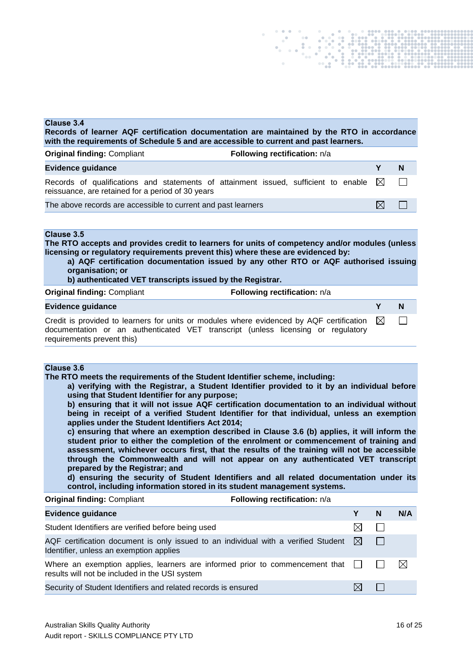

#### **Clause 3.4**

**Records of learner AQF certification documentation are maintained by the RTO in accordance with the requirements of Schedule 5 and are accessible to current and past learners.**

| <b>Original finding: Compliant</b>                                                                                                                   | Following rectification: n/a |     |                |
|------------------------------------------------------------------------------------------------------------------------------------------------------|------------------------------|-----|----------------|
| <b>Evidence guidance</b>                                                                                                                             |                              |     | $\blacksquare$ |
| Records of qualifications and statements of attainment issued, sufficient to enable $\boxtimes$<br>reissuance, are retained for a period of 30 years |                              |     | $\Box$         |
| The above records are accessible to current and past learners                                                                                        |                              | IXI |                |

#### **Clause 3.5**

**The RTO accepts and provides credit to learners for units of competency and/or modules (unless licensing or regulatory requirements prevent this) where these are evidenced by:** 

- **a) AQF certification documentation issued by any other RTO or AQF authorised issuing organisation; or**
- **b) authenticated VET transcripts issued by the Registrar.**

| <b>Original finding: Compliant</b>                                                                                                                                                                                     | Following rectification: n/a |   |
|------------------------------------------------------------------------------------------------------------------------------------------------------------------------------------------------------------------------|------------------------------|---|
| <b>Evidence guidance</b>                                                                                                                                                                                               |                              | N |
| Credit is provided to learners for units or modules where evidenced by AQF certification $\boxtimes$<br>documentation or an authenticated VET transcript (unless licensing or regulatory<br>requirements prevent this) |                              |   |

#### **Clause 3.6**

**The RTO meets the requirements of the Student Identifier scheme, including:**

**a) verifying with the Registrar, a Student Identifier provided to it by an individual before using that Student Identifier for any purpose;**

**b) ensuring that it will not issue AQF certification documentation to an individual without being in receipt of a verified Student Identifier for that individual, unless an exemption applies under the Student Identifiers Act 2014;**

**c) ensuring that where an exemption described in Clause 3.6 (b) applies, it will inform the student prior to either the completion of the enrolment or commencement of training and assessment, whichever occurs first, that the results of the training will not be accessible through the Commonwealth and will not appear on any authenticated VET transcript prepared by the Registrar; and**

**d) ensuring the security of Student Identifiers and all related documentation under its control, including information stored in its student management systems.**

#### **Original finding: Compliant <b>Following rectification:**  $n/a$

| <b>Evidence guidance</b>                                                                                                                  |    | N | N/A |
|-------------------------------------------------------------------------------------------------------------------------------------------|----|---|-----|
| Student Identifiers are verified before being used                                                                                        |    |   |     |
| AQF certification document is only issued to an individual with a verified Student $\boxtimes$<br>Identifier, unless an exemption applies |    |   |     |
| Where an exemption applies, learners are informed prior to commencement that $\Box$<br>results will not be included in the USI system     |    |   | ⊠   |
| Security of Student Identifiers and related records is ensured                                                                            | IX |   |     |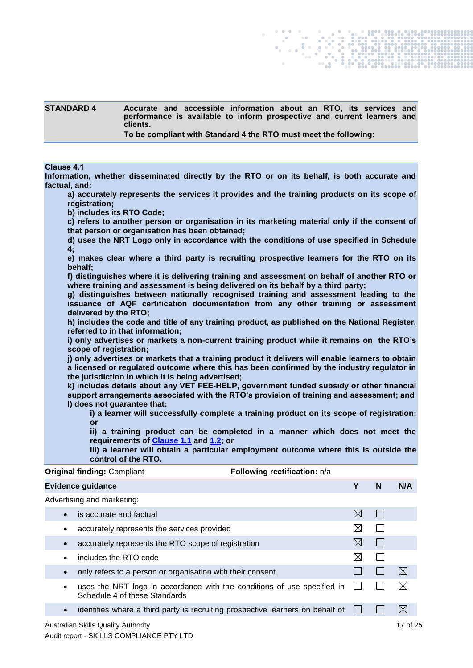| <b>STANDARD 4</b> | Accurate and accessible information about an RTO, its services and<br>performance is available to inform prospective and current learners and<br>clients. |
|-------------------|-----------------------------------------------------------------------------------------------------------------------------------------------------------|
|                   | To be compliant with Standard 4 the RTO must meet the following:                                                                                          |

#### **Clause 4.1**

**Information, whether disseminated directly by the RTO or on its behalf, is both accurate and factual, and:**

**a) accurately represents the services it provides and the training products on its scope of registration;**

**b) includes its RTO Code;**

**c) refers to another person or organisation in its marketing material only if the consent of that person or organisation has been obtained;** 

**d) uses the NRT Logo only in accordance with the conditions of use specified in Schedule 4;**

**e) makes clear where a third party is recruiting prospective learners for the RTO on its behalf;**

**f) distinguishes where it is delivering training and assessment on behalf of another RTO or where training and assessment is being delivered on its behalf by a third party;** 

**g) distinguishes between nationally recognised training and assessment leading to the issuance of AQF certification documentation from any other training or assessment delivered by the RTO;**

**h) includes the code and title of any training product, as published on the National Register, referred to in that information;**

**i) only advertises or markets a non-current training product while it remains on the RTO's scope of registration;**

**j) only advertises or markets that a training product it delivers will enable learners to obtain a licensed or regulated outcome where this has been confirmed by the industry regulator in the jurisdiction in which it is being advertised;** 

**k) includes details about any VET FEE-HELP, government funded subsidy or other financial support arrangements associated with the RTO's provision of training and assessment; and l) does not guarantee that:**

**i) a learner will successfully complete a training product on its scope of registration; or**

**ii) a training product can be completed in a manner which does not meet the requirements of [Clause 1.1](#page-3-0) and 1.2; or**

**iii) a learner will obtain a particular employment outcome where this is outside the control of the RTO.**

|           | <b>Original finding: Compliant</b>                                                                       | Following rectification: n/a |             |              |             |
|-----------|----------------------------------------------------------------------------------------------------------|------------------------------|-------------|--------------|-------------|
|           | <b>Evidence guidance</b>                                                                                 |                              | Υ           | N            | N/A         |
|           | Advertising and marketing:                                                                               |                              |             |              |             |
| $\bullet$ | is accurate and factual                                                                                  |                              | ⊠           | I.           |             |
| ٠         | accurately represents the services provided                                                              |                              | $\boxtimes$ |              |             |
| $\bullet$ | accurately represents the RTO scope of registration                                                      |                              | ⊠           | $\Box$       |             |
| $\bullet$ | includes the RTO code                                                                                    |                              | $\boxtimes$ | $\mathbf{L}$ |             |
| $\bullet$ | only refers to a person or organisation with their consent                                               |                              |             | $\mathbf{L}$ | $\boxtimes$ |
| $\bullet$ | uses the NRT logo in accordance with the conditions of use specified in<br>Schedule 4 of these Standards |                              |             |              | $\boxtimes$ |
| $\bullet$ | identifies where a third party is recruiting prospective learners on behalf of                           |                              |             |              | $\boxtimes$ |
|           | Australian Skills Quality Authority                                                                      |                              |             |              | 17 of 25    |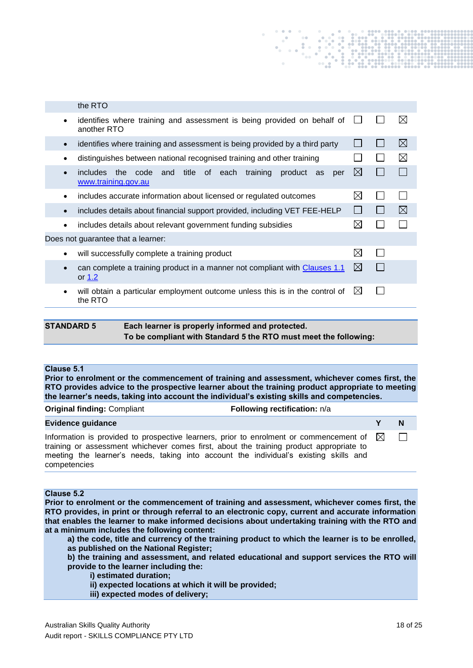|           | the RTO                                                                                              |              |             |
|-----------|------------------------------------------------------------------------------------------------------|--------------|-------------|
| $\bullet$ | identifies where training and assessment is being provided on behalf of<br>another RTO               |              | $\boxtimes$ |
| $\bullet$ | identifies where training and assessment is being provided by a third party                          |              | ⊠           |
| ٠         | distinguishes between national recognised training and other training                                |              | $\boxtimes$ |
| $\bullet$ | title of each<br>training<br>includes the code<br>and<br>product<br>as<br>per<br>www.training.gov.au | ⊠            |             |
| ٠         | includes accurate information about licensed or regulated outcomes                                   | ⊠            |             |
| $\bullet$ | includes details about financial support provided, including VET FEE-HELP                            | $\mathsf{L}$ | ⊠           |
| $\bullet$ | includes details about relevant government funding subsidies                                         | ⊠            |             |
|           | Does not guarantee that a learner:                                                                   |              |             |
| $\bullet$ | will successfully complete a training product                                                        | $\boxtimes$  |             |
| $\bullet$ | can complete a training product in a manner not compliant with Clauses 1.1<br>or $1.2$               | ⊠            |             |
|           | will obtain a particular employment outcome unless this is in the control of<br>the RTO              | ⊠            |             |
|           |                                                                                                      |              |             |

| <b>STANDARD 5</b> | Each learner is properly informed and protected.                 |
|-------------------|------------------------------------------------------------------|
|                   | To be compliant with Standard 5 the RTO must meet the following: |

#### **Clause 5.1**

**Prior to enrolment or the commencement of training and assessment, whichever comes first, the RTO provides advice to the prospective learner about the training product appropriate to meeting the learner's needs, taking into account the individual's existing skills and competencies.**

**Original finding: Compliant <b>Following rectification:**  $n/a$ 

#### **Evidence guidance Y N**

Information is provided to prospective learners, prior to enrolment or commencement of  $\boxtimes$ training or assessment whichever comes first, about the training product appropriate to meeting the learner's needs, taking into account the individual's existing skills and competencies

#### **Clause 5.2**

**Prior to enrolment or the commencement of training and assessment, whichever comes first, the RTO provides, in print or through referral to an electronic copy, current and accurate information that enables the learner to make informed decisions about undertaking training with the RTO and at a minimum includes the following content:** 

**a) the code, title and currency of the training product to which the learner is to be enrolled, as published on the National Register;**

**b) the training and assessment, and related educational and support services the RTO will provide to the learner including the:**

- **i) estimated duration;**
- **ii) expected locations at which it will be provided;**
- **iii) expected modes of delivery;**

 $\Box$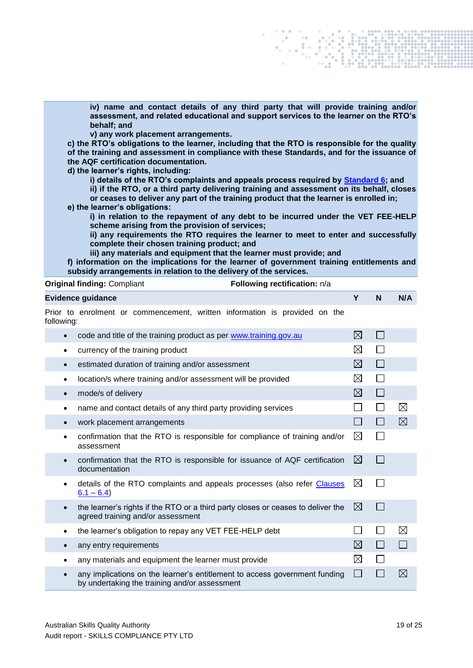**iv) name and contact details of any third party that will provide training and/or assessment, and related educational and support services to the learner on the RTO's behalf; and**

**v) any work placement arrangements.** 

**c) the RTO's obligations to the learner, including that the RTO is responsible for the quality of the training and assessment in compliance with these Standards, and for the issuance of the AQF certification documentation.**

**d) the learner's rights, including:**

**i) details of the RTO's complaints and appeals process required by [Standard 6;](#page-19-0) and**

**ii) if the RTO, or a third party delivering training and assessment on its behalf, closes or ceases to deliver any part of the training product that the learner is enrolled in; e) the learner's obligations:**

**i) in relation to the repayment of any debt to be incurred under the VET FEE-HELP scheme arising from the provision of services;** 

**ii) any requirements the RTO requires the learner to meet to enter and successfully complete their chosen training product; and**

**iii) any materials and equipment that the learner must provide; and**

**f) information on the implications for the learner of government training entitlements and subsidy arrangements in relation to the delivery of the services.**

|            | <b>Original finding: Compliant</b><br>Following rectification: n/a                                                          |             |              |              |
|------------|-----------------------------------------------------------------------------------------------------------------------------|-------------|--------------|--------------|
|            | <b>Evidence guidance</b>                                                                                                    | Y           | N            | N/A          |
| following: | Prior to enrolment or commencement, written information is provided on the                                                  |             |              |              |
| $\bullet$  | code and title of the training product as per www.training.gov.au                                                           | ⊠           | $\perp$      |              |
| $\bullet$  | currency of the training product                                                                                            | $\boxtimes$ |              |              |
| $\bullet$  | estimated duration of training and/or assessment                                                                            | $\boxtimes$ | $\Box$       |              |
| $\bullet$  | location/s where training and/or assessment will be provided                                                                | ⊠           |              |              |
| $\bullet$  | mode/s of delivery                                                                                                          | ⊠           | $\mathbf{L}$ |              |
| $\bullet$  | name and contact details of any third party providing services                                                              |             |              | $\boxtimes$  |
| $\bullet$  | work placement arrangements                                                                                                 |             |              | $\boxtimes$  |
| $\bullet$  | confirmation that the RTO is responsible for compliance of training and/or<br>assessment                                    | $\boxtimes$ |              |              |
| $\bullet$  | confirmation that the RTO is responsible for issuance of AQF certification<br>documentation                                 | ⊠           |              |              |
| ٠          | details of the RTO complaints and appeals processes (also refer Clauses<br>$6.1 - 6.4$                                      | $\boxtimes$ |              |              |
| $\bullet$  | the learner's rights if the RTO or a third party closes or ceases to deliver the<br>agreed training and/or assessment       | ⊠           |              |              |
| ٠          | the learner's obligation to repay any VET FEE-HELP debt                                                                     |             |              | $\boxtimes$  |
| $\bullet$  | any entry requirements                                                                                                      | ⊠           |              | $\mathbf{I}$ |
| ٠          | any materials and equipment the learner must provide                                                                        | $\boxtimes$ |              |              |
| $\bullet$  | any implications on the learner's entitlement to access government funding<br>by undertaking the training and/or assessment |             |              | $\boxtimes$  |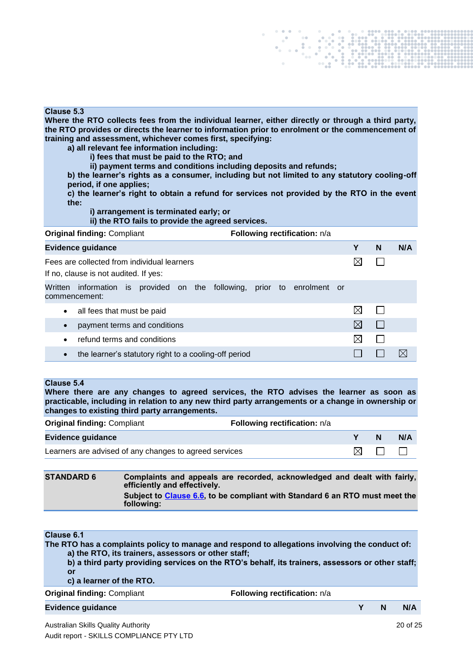#### **Clause 5.3**

**Where the RTO collects fees from the individual learner, either directly or through a third party, the RTO provides or directs the learner to information prior to enrolment or the commencement of training and assessment, whichever comes first, specifying:** 

- **a) all relevant fee information including:**
	- **i) fees that must be paid to the RTO; and**

**ii) payment terms and conditions including deposits and refunds;** 

**b) the learner's rights as a consumer, including but not limited to any statutory cooling-off period, if one applies;** 

**c) the learner's right to obtain a refund for services not provided by the RTO in the event the:**

**i) arrangement is terminated early; or**

**ii) the RTO fails to provide the agreed services.**

| <b>Original finding: Compliant</b> | Following rectification: n/a |
|------------------------------------|------------------------------|
|------------------------------------|------------------------------|

| <b>Evidence guidance</b>                                                                       | Y  | N | N/A |
|------------------------------------------------------------------------------------------------|----|---|-----|
| Fees are collected from individual learners<br>If no, clause is not audited. If yes:           |    |   |     |
| information is provided on the following,<br>prior to enrolment or<br>Written<br>commencement: |    |   |     |
| all fees that must be paid<br>$\bullet$                                                        | IX |   |     |
| payment terms and conditions<br>$\bullet$                                                      | IX |   |     |
| refund terms and conditions<br>$\bullet$                                                       | ⋉  |   |     |
| the learner's statutory right to a cooling-off period<br>$\bullet$                             |    |   | IX  |

#### **Clause 5.4**

**Where there are any changes to agreed services, the RTO advises the learner as soon as practicable, including in relation to any new third party arrangements or a change in ownership or changes to existing third party arrangements.**

| <b>Original finding: Compliant</b>                     | Following rectification: n/a |     |              |     |
|--------------------------------------------------------|------------------------------|-----|--------------|-----|
| Evidence guidance                                      |                              |     | <b>N</b>     | N/A |
| Learners are advised of any changes to agreed services |                              | IXL | $\mathbf{1}$ |     |

#### <span id="page-19-0"></span>**STANDARD 6 Complaints and appeals are recorded, acknowledged and dealt with fairly, efficiently and effectively. Subject to [Clause 6.6,](#page-21-0) to be compliant with Standard 6 an RTO must meet the following:**

### <span id="page-19-1"></span>**Clause 6.1**

**The RTO has a complaints policy to manage and respond to allegations involving the conduct of: a) the RTO, its trainers, assessors or other staff;**

**b) a third party providing services on the RTO's behalf, its trainers, assessors or other staff; or**

#### **c) a learner of the RTO.**

| <b>Original finding: Compliant</b><br>Following rectification: n/a |  |  |            |
|--------------------------------------------------------------------|--|--|------------|
| <b>Evidence quidance</b>                                           |  |  | <b>N/A</b> |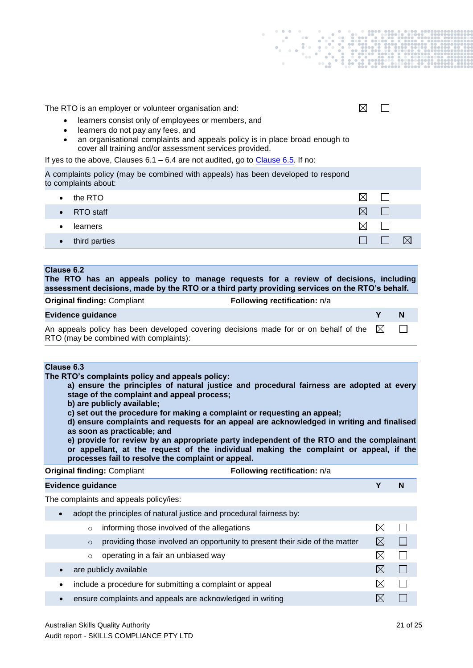The RTO is an employer or volunteer organisation and:

- learners consist only of employees or members, and
- learners do not pay any fees, and
- an organisational complaints and appeals policy is in place broad enough to cover all training and/or assessment services provided.

If yes to the above, Clauses  $6.1 - 6.4$  are not audited, go to Clause  $6.5$ . If no:

A complaints policy (may be combined with appeals) has been developed to respond to complaints about:

| the RTO<br>٠               | ×         |  |
|----------------------------|-----------|--|
| • RTO staff                | $\bowtie$ |  |
| learners                   | $\bowtie$ |  |
| third parties<br>$\bullet$ |           |  |

#### **Clause 6.2**

**The RTO has an appeals policy to manage requests for a review of decisions, including assessment decisions, made by the RTO or a third party providing services on the RTO's behalf.**

| <b>Original finding: Compliant</b>                                                                                             | <b>Following rectification:</b> n/a |     |   |
|--------------------------------------------------------------------------------------------------------------------------------|-------------------------------------|-----|---|
| <b>Evidence guidance</b>                                                                                                       |                                     |     | N |
| An appeals policy has been developed covering decisions made for or on behalf of the<br>RTO (may be combined with complaints): |                                     | - M |   |

#### **Clause 6.3**

**The RTO's complaints policy and appeals policy:**

**a) ensure the principles of natural justice and procedural fairness are adopted at every stage of the complaint and appeal process;**

**b) are publicly available;** 

**c) set out the procedure for making a complaint or requesting an appeal;** 

**d) ensure complaints and requests for an appeal are acknowledged in writing and finalised as soon as practicable; and**

**e) provide for review by an appropriate party independent of the RTO and the complainant or appellant, at the request of the individual making the complaint or appeal, if the processes fail to resolve the complaint or appeal.**

| <b>Original finding: Compliant</b> |                                                                     | Following rectification: n/a                                                |             |        |  |
|------------------------------------|---------------------------------------------------------------------|-----------------------------------------------------------------------------|-------------|--------|--|
|                                    | <b>Evidence guidance</b>                                            |                                                                             |             |        |  |
|                                    | The complaints and appeals policy/ies:                              |                                                                             |             |        |  |
|                                    | adopt the principles of natural justice and procedural fairness by: |                                                                             |             |        |  |
| $\circ$                            | informing those involved of the allegations                         |                                                                             | X           |        |  |
| $\circ$                            |                                                                     | providing those involved an opportunity to present their side of the matter | $\boxtimes$ | H.     |  |
| $\circ$                            | operating in a fair an unbiased way                                 |                                                                             |             |        |  |
|                                    | are publicly available                                              |                                                                             | $\boxtimes$ | $\Box$ |  |
|                                    | include a procedure for submitting a complaint or appeal            |                                                                             | ⋉           |        |  |
|                                    | ensure complaints and appeals are acknowledged in writing           |                                                                             |             |        |  |
|                                    |                                                                     |                                                                             |             |        |  |

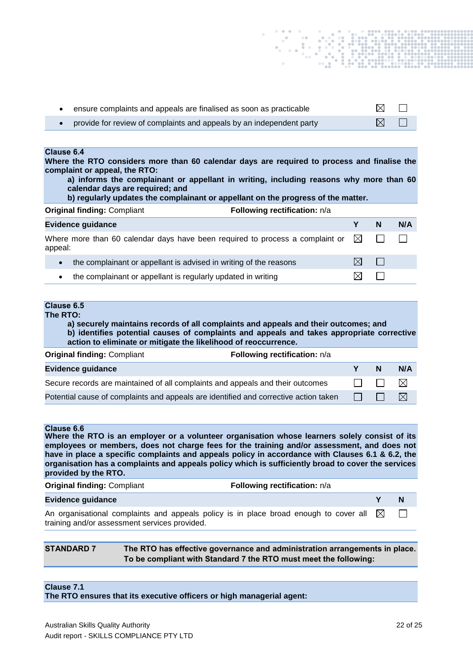<span id="page-21-1"></span>

| ensure complaints and appeals are finalised as soon as practicable                                                                                                                                                                                                                                                                                                                                                                                  |                                                                                                                                                                            |   | $\boxtimes$      |             |
|-----------------------------------------------------------------------------------------------------------------------------------------------------------------------------------------------------------------------------------------------------------------------------------------------------------------------------------------------------------------------------------------------------------------------------------------------------|----------------------------------------------------------------------------------------------------------------------------------------------------------------------------|---|------------------|-------------|
| provide for review of complaints and appeals by an independent party                                                                                                                                                                                                                                                                                                                                                                                |                                                                                                                                                                            |   | $\boxtimes$      |             |
|                                                                                                                                                                                                                                                                                                                                                                                                                                                     |                                                                                                                                                                            |   |                  |             |
| <b>Clause 6.4</b><br>Where the RTO considers more than 60 calendar days are required to process and finalise the<br>complaint or appeal, the RTO:<br>calendar days are required; and                                                                                                                                                                                                                                                                | a) informs the complainant or appellant in writing, including reasons why more than 60<br>b) regularly updates the complainant or appellant on the progress of the matter. |   |                  |             |
| <b>Original finding: Compliant</b>                                                                                                                                                                                                                                                                                                                                                                                                                  | Following rectification: n/a                                                                                                                                               |   |                  |             |
| <b>Evidence guidance</b>                                                                                                                                                                                                                                                                                                                                                                                                                            |                                                                                                                                                                            | Y | N                | N/A         |
| Where more than 60 calendar days have been required to process a complaint or<br>appeal:                                                                                                                                                                                                                                                                                                                                                            |                                                                                                                                                                            | ⊠ |                  |             |
| the complainant or appellant is advised in writing of the reasons<br>$\bullet$                                                                                                                                                                                                                                                                                                                                                                      |                                                                                                                                                                            | ⊠ | $\mathsf{L}$     |             |
| the complainant or appellant is regularly updated in writing<br>$\bullet$                                                                                                                                                                                                                                                                                                                                                                           |                                                                                                                                                                            | ⊠ | $\sim$           |             |
|                                                                                                                                                                                                                                                                                                                                                                                                                                                     | a) securely maintains records of all complaints and appeals and their outcomes; and                                                                                        |   |                  |             |
| <b>Clause 6.5</b><br>The RTO:<br>action to eliminate or mitigate the likelihood of reoccurrence.                                                                                                                                                                                                                                                                                                                                                    | b) identifies potential causes of complaints and appeals and takes appropriate corrective                                                                                  |   |                  |             |
| <b>Original finding: Compliant</b>                                                                                                                                                                                                                                                                                                                                                                                                                  | Following rectification: n/a                                                                                                                                               |   |                  |             |
| <b>Evidence guidance</b>                                                                                                                                                                                                                                                                                                                                                                                                                            |                                                                                                                                                                            | Y | N                | N/A         |
| Secure records are maintained of all complaints and appeals and their outcomes                                                                                                                                                                                                                                                                                                                                                                      |                                                                                                                                                                            |   |                  | $\boxtimes$ |
| Potential cause of complaints and appeals are identified and corrective action taken                                                                                                                                                                                                                                                                                                                                                                |                                                                                                                                                                            |   |                  | $\boxtimes$ |
| <b>Clause 6.6</b><br>Where the RTO is an employer or a volunteer organisation whose learners solely consist of its<br>employees or members, does not charge fees for the training and/or assessment, and does not<br>have in place a specific complaints and appeals policy in accordance with Clauses 6.1 & 6.2, the<br>organisation has a complaints and appeals policy which is sufficiently broad to cover the services<br>provided by the RTO. |                                                                                                                                                                            |   |                  |             |
| <b>Original finding: Compliant</b>                                                                                                                                                                                                                                                                                                                                                                                                                  | Following rectification: n/a                                                                                                                                               |   |                  |             |
| <b>Evidence guidance</b><br>An organisational complaints and appeals policy is in place broad enough to cover all                                                                                                                                                                                                                                                                                                                                   |                                                                                                                                                                            |   | Y<br>$\boxtimes$ | N           |

**STANDARD 7 The RTO has effective governance and administration arrangements in place. To be compliant with Standard 7 the RTO must meet the following:**

## **Clause 7.1**

**The RTO ensures that its executive officers or high managerial agent:**

<span id="page-21-0"></span>training and/or assessment services provided.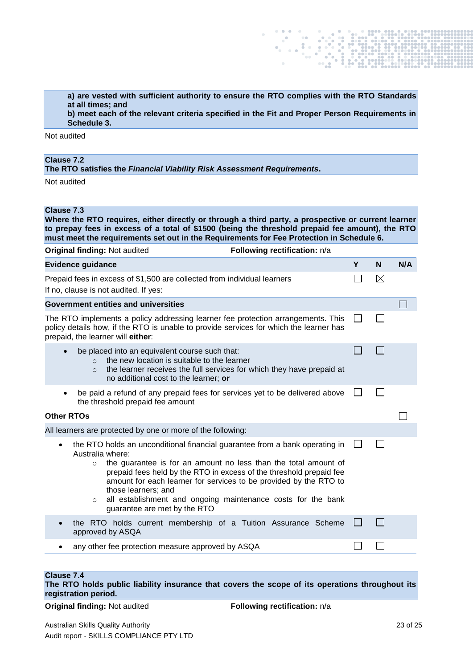**a) are vested with sufficient authority to ensure the RTO complies with the RTO Standards at all times; and**

 $\mathbb{R}$ 

**b) meet each of the relevant criteria specified in the Fit and Proper Person Requirements in Schedule 3.**

Not audited

## **Clause 7.2**

**The RTO satisfies the** *Financial Viability Risk Assessment Requirements***.**

Not audited

## **Clause 7.3**

**Where the RTO requires, either directly or through a third party, a prospective or current learner to prepay fees in excess of a total of \$1500 (being the threshold prepaid fee amount), the RTO must meet the requirements set out in the Requirements for Fee Protection in Schedule 6.**

| <b>Original finding: Not audited</b><br>Following rectification: n/a                                                                                                                                                                                                                                                                                                                                                                                                     |   |             |     |
|--------------------------------------------------------------------------------------------------------------------------------------------------------------------------------------------------------------------------------------------------------------------------------------------------------------------------------------------------------------------------------------------------------------------------------------------------------------------------|---|-------------|-----|
| <b>Evidence guidance</b>                                                                                                                                                                                                                                                                                                                                                                                                                                                 | Y | N           | N/A |
| Prepaid fees in excess of \$1,500 are collected from individual learners<br>If no, clause is not audited. If yes:                                                                                                                                                                                                                                                                                                                                                        |   | $\boxtimes$ |     |
| <b>Government entities and universities</b>                                                                                                                                                                                                                                                                                                                                                                                                                              |   |             |     |
| The RTO implements a policy addressing learner fee protection arrangements. This<br>policy details how, if the RTO is unable to provide services for which the learner has<br>prepaid, the learner will either:                                                                                                                                                                                                                                                          |   |             |     |
| be placed into an equivalent course such that:<br>$\bullet$<br>the new location is suitable to the learner<br>$\Omega$<br>the learner receives the full services for which they have prepaid at<br>$\circ$<br>no additional cost to the learner; or                                                                                                                                                                                                                      |   |             |     |
| be paid a refund of any prepaid fees for services yet to be delivered above<br>$\bullet$<br>the threshold prepaid fee amount                                                                                                                                                                                                                                                                                                                                             |   |             |     |
| <b>Other RTOs</b>                                                                                                                                                                                                                                                                                                                                                                                                                                                        |   |             |     |
| All learners are protected by one or more of the following:                                                                                                                                                                                                                                                                                                                                                                                                              |   |             |     |
| the RTO holds an unconditional financial guarantee from a bank operating in<br>$\bullet$<br>Australia where:<br>the guarantee is for an amount no less than the total amount of<br>$\circ$<br>prepaid fees held by the RTO in excess of the threshold prepaid fee<br>amount for each learner for services to be provided by the RTO to<br>those learners; and<br>all establishment and ongoing maintenance costs for the bank<br>$\circ$<br>guarantee are met by the RTO |   |             |     |
| the RTO holds current membership of a Tuition Assurance Scheme<br>approved by ASQA                                                                                                                                                                                                                                                                                                                                                                                       |   |             |     |
| any other fee protection measure approved by ASQA                                                                                                                                                                                                                                                                                                                                                                                                                        |   |             |     |

## **Clause 7.4**

**The RTO holds public liability insurance that covers the scope of its operations throughout its registration period.**

**Original finding:** Not audited **Following rectification:**  $n/a$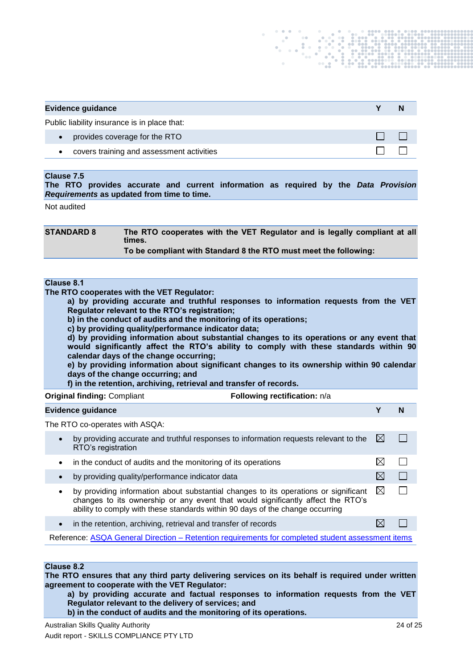| <b>Evidence guidance</b>                     |  |  |  |
|----------------------------------------------|--|--|--|
| Public liability insurance is in place that: |  |  |  |
| provides coverage for the RTO                |  |  |  |
| covers training and assessment activities    |  |  |  |

#### **Clause 7.5**

**The RTO provides accurate and current information as required by the** *Data Provision Requirements* **as updated from time to time.**

Not audited

| <b>STANDARD 8</b> | The RTO cooperates with the VET Regulator and is legally compliant at all<br>times. |
|-------------------|-------------------------------------------------------------------------------------|
|                   | To be compliant with Standard 8 the RTO must meet the following:                    |

## **Clause 8.1**

**The RTO cooperates with the VET Regulator:** 

**a) by providing accurate and truthful responses to information requests from the VET Regulator relevant to the RTO's registration;**

**b) in the conduct of audits and the monitoring of its operations;**

**c) by providing quality/performance indicator data;**

**d) by providing information about substantial changes to its operations or any event that would significantly affect the RTO's ability to comply with these standards within 90 calendar days of the change occurring;** 

**e) by providing information about significant changes to its ownership within 90 calendar days of the change occurring; and** 

**f) in the retention, archiving, retrieval and transfer of records.**

| <b>Original finding: Compliant</b> | Following rectification: n/a |
|------------------------------------|------------------------------|
|------------------------------------|------------------------------|

#### **Evidence guidance Y N**

The RTO co-operates with ASQA:

| $\bullet$ | by providing accurate and truthful responses to information requests relevant to the<br>RTO's registration                                                                                                                                              | IХ          |  |
|-----------|---------------------------------------------------------------------------------------------------------------------------------------------------------------------------------------------------------------------------------------------------------|-------------|--|
| $\bullet$ | in the conduct of audits and the monitoring of its operations                                                                                                                                                                                           |             |  |
|           | by providing quality/performance indicator data                                                                                                                                                                                                         |             |  |
| ٠         | by providing information about substantial changes to its operations or significant<br>changes to its ownership or any event that would significantly affect the RTO's<br>ability to comply with these standards within 90 days of the change occurring | $\boxtimes$ |  |
| $\bullet$ | in the retention, archiving, retrieval and transfer of records                                                                                                                                                                                          |             |  |

Reference: ASQA General Direction – [Retention requirements for completed student assessment items](http://www.asqa.gov.au/verve/_resources/General_direction_Retaining_student_assessment.pdf)

#### **Clause 8.2**

**The RTO ensures that any third party delivering services on its behalf is required under written agreement to cooperate with the VET Regulator:**

**a) by providing accurate and factual responses to information requests from the VET Regulator relevant to the delivery of services; and**

**b) in the conduct of audits and the monitoring of its operations.**